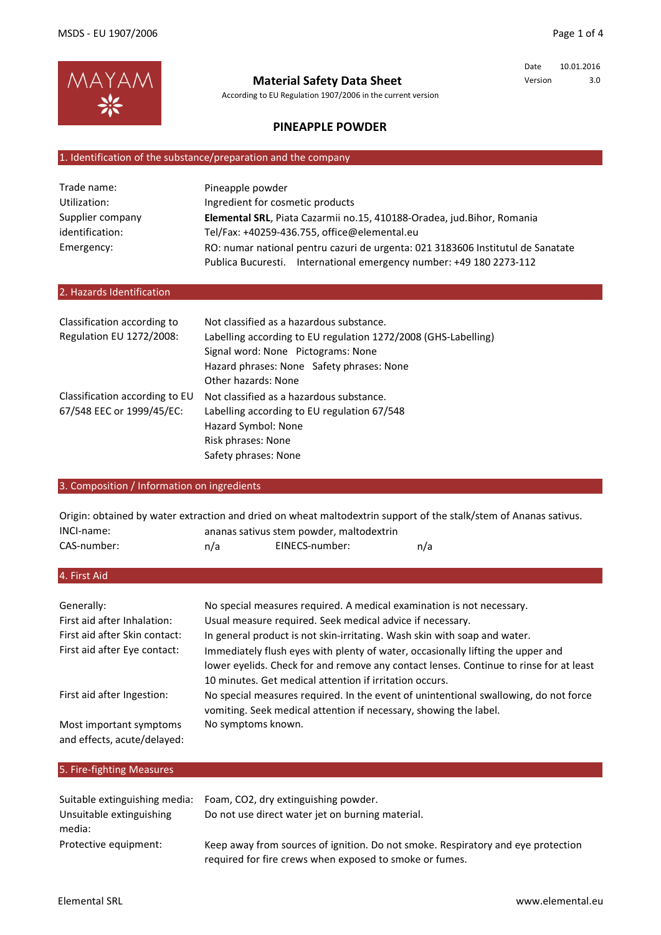

**Material Safety Data Sheet**

According to EU Regulation 1907/2006 in the current version

Date 10.01.2016 Version 3.0

# **PINEAPPLE POWDER**

## 1. Identification of the substance/preparation and the company

| Trade name:      | Pineapple powder                                                                |  |
|------------------|---------------------------------------------------------------------------------|--|
| Utilization:     | Ingredient for cosmetic products                                                |  |
| Supplier company | Elemental SRL, Piata Cazarmii no.15, 410188-Oradea, jud.Bihor, Romania          |  |
| identification:  | Tel/Fax: +40259-436.755, office@elemental.eu                                    |  |
| Emergency:       | RO: numar national pentru cazuri de urgenta: 021 3183606 Institutul de Sanatate |  |
|                  | Publica Bucuresti. International emergency number: +49 180 2273-112             |  |

## 2. Hazards Identification

| Classification according to<br>Regulation EU 1272/2008:     | Not classified as a hazardous substance.<br>Labelling according to EU regulation 1272/2008 (GHS-Labelling)<br>Signal word: None Pictograms: None<br>Hazard phrases: None Safety phrases: None<br>Other hazards: None |
|-------------------------------------------------------------|----------------------------------------------------------------------------------------------------------------------------------------------------------------------------------------------------------------------|
| Classification according to EU<br>67/548 EEC or 1999/45/EC: | Not classified as a hazardous substance.<br>Labelling according to EU regulation 67/548<br>Hazard Symbol: None<br>Risk phrases: None<br>Safety phrases: None                                                         |

# 3. Composition / Information on ingredients

| Origin: obtained by water extraction and dried on wheat maltodextrin support of the stalk/stem of Ananas sativus. |     |                                          |     |
|-------------------------------------------------------------------------------------------------------------------|-----|------------------------------------------|-----|
| INCI-name:                                                                                                        |     | ananas sativus stem powder, maltodextrin |     |
| CAS-number:                                                                                                       | n/a | EINECS-number:                           | n/a |

## 4. First Aid

| Generally:                                             | No special measures required. A medical examination is not necessary.                                                                                                                                                                |
|--------------------------------------------------------|--------------------------------------------------------------------------------------------------------------------------------------------------------------------------------------------------------------------------------------|
| First aid after Inhalation:                            | Usual measure required. Seek medical advice if necessary.                                                                                                                                                                            |
| First aid after Skin contact:                          | In general product is not skin-irritating. Wash skin with soap and water.                                                                                                                                                            |
| First aid after Eye contact:                           | Immediately flush eyes with plenty of water, occasionally lifting the upper and<br>lower eyelids. Check for and remove any contact lenses. Continue to rinse for at least<br>10 minutes. Get medical attention if irritation occurs. |
| First aid after Ingestion:                             | No special measures required. In the event of unintentional swallowing, do not force<br>vomiting. Seek medical attention if necessary, showing the label.                                                                            |
| Most important symptoms<br>and effects, acute/delayed: | No symptoms known.                                                                                                                                                                                                                   |

| 5. Fire-fighting Measures          |                                                                                                                                             |
|------------------------------------|---------------------------------------------------------------------------------------------------------------------------------------------|
| Suitable extinguishing media:      | Foam, CO2, dry extinguishing powder.                                                                                                        |
| Unsuitable extinguishing<br>media: | Do not use direct water jet on burning material.                                                                                            |
| Protective equipment:              | Keep away from sources of ignition. Do not smoke. Respiratory and eye protection<br>required for fire crews when exposed to smoke or fumes. |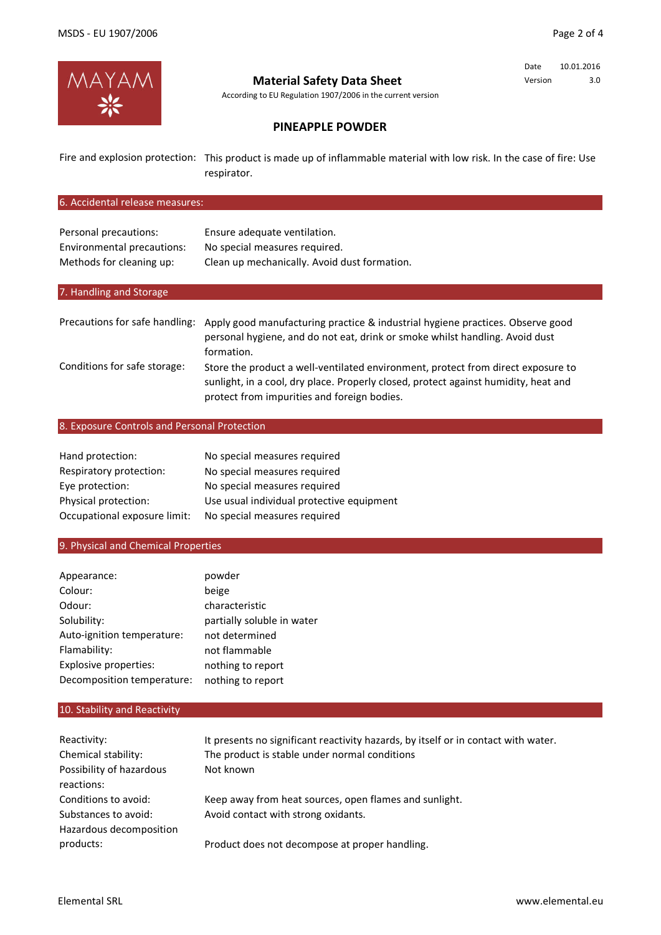

# **Material Safety Data Sheet**

According to EU Regulation 1907/2006 in the current version

Date 10.01.2016 Version 3.0

# **PINEAPPLE POWDER**

Fire and explosion protection: This product is made up of inflammable material with low risk. In the case of fire: Use respirator.

## 6. Accidental release measures:

| Personal precautions:      | Ensure adequate ventilation.                 |
|----------------------------|----------------------------------------------|
| Environmental precautions: | No special measures required.                |
| Methods for cleaning up:   | Clean up mechanically. Avoid dust formation. |

## 7. Handling and Storage

| Precautions for safe handling: | Apply good manufacturing practice & industrial hygiene practices. Observe good<br>personal hygiene, and do not eat, drink or smoke whilst handling. Avoid dust<br>formation.                                           |
|--------------------------------|------------------------------------------------------------------------------------------------------------------------------------------------------------------------------------------------------------------------|
| Conditions for safe storage:   | Store the product a well-ventilated environment, protect from direct exposure to<br>sunlight, in a cool, dry place. Properly closed, protect against humidity, heat and<br>protect from impurities and foreign bodies. |

#### 8. Exposure Controls and Personal Protection

| Hand protection:             | No special measures required              |
|------------------------------|-------------------------------------------|
| Respiratory protection:      | No special measures required              |
| Eye protection:              | No special measures required              |
| Physical protection:         | Use usual individual protective equipment |
| Occupational exposure limit: | No special measures required              |

### 9. Physical and Chemical Properties

| Appearance:                  | powder                     |
|------------------------------|----------------------------|
| Colour:                      | beige                      |
| Odour:                       | characteristic             |
| Solubility:                  | partially soluble in water |
| Auto-ignition temperature:   | not determined             |
| Flamability:                 | not flammable              |
| <b>Explosive properties:</b> | nothing to report          |
| Decomposition temperature:   | nothing to report          |

## 10. Stability and Reactivity

| Reactivity:                            | It presents no significant reactivity hazards, by itself or in contact with water. |
|----------------------------------------|------------------------------------------------------------------------------------|
| Chemical stability:                    | The product is stable under normal conditions                                      |
| Possibility of hazardous<br>reactions: | Not known                                                                          |
| Conditions to avoid:                   | Keep away from heat sources, open flames and sunlight.                             |
| Substances to avoid:                   | Avoid contact with strong oxidants.                                                |
| Hazardous decomposition                |                                                                                    |
| products:                              | Product does not decompose at proper handling.                                     |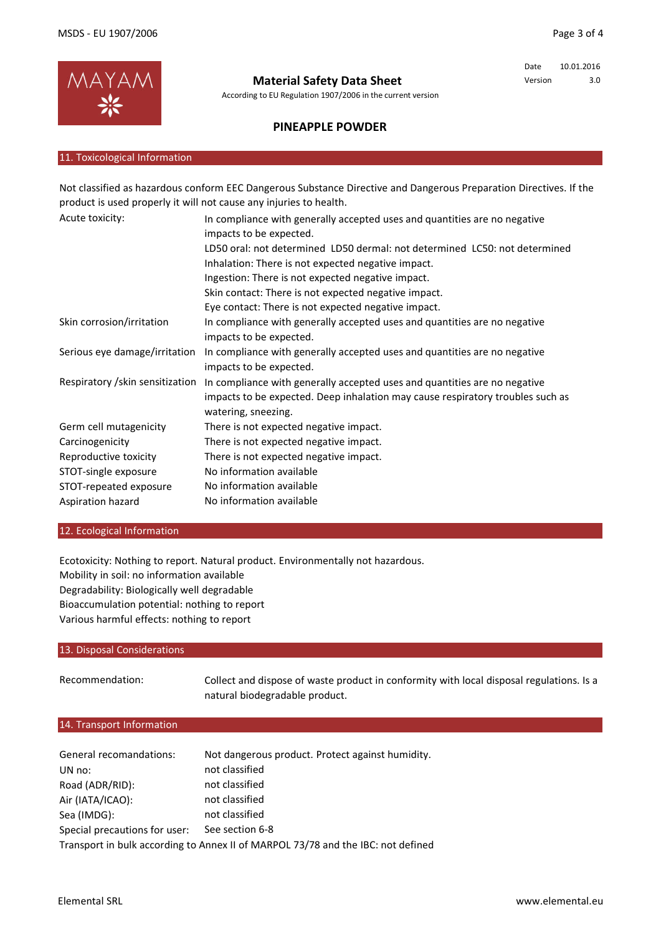

**Material Safety Data Sheet**

According to EU Regulation 1907/2006 in the current version

Date 10.01.2016 Version 3.0

# **PINEAPPLE POWDER**

#### 11. Toxicological Information

Acute toxicity: Skin corrosion/irritation Serious eye damage/irritation Respiratory /skin sensitization Germ cell mutagenicity Carcinogenicity Reproductive toxicity STOT-single exposure STOT-repeated exposure Aspiration hazard Not classified as hazardous conform EEC Dangerous Substance Directive and Dangerous Preparation Directives. If the product is used properly it will not cause any injuries to health. In compliance with generally accepted uses and quantities are no negative impacts to be expected. LD50 oral: not determined LD50 dermal: not determined LC50: not determined Inhalation: There is not expected negative impact. Ingestion: There is not expected negative impact. Skin contact: There is not expected negative impact. Eye contact: There is not expected negative impact. There is not expected negative impact. There is not expected negative impact. There is not expected negative impact. No information available No information available No information available In compliance with generally accepted uses and quantities are no negative impacts to be expected. In compliance with generally accepted uses and quantities are no negative impacts to be expected. In compliance with generally accepted uses and quantities are no negative impacts to be expected. Deep inhalation may cause respiratory troubles such as watering, sneezing.

#### 12. Ecological Information

Ecotoxicity: Nothing to report. Natural product. Environmentally not hazardous. Mobility in soil: no information available Degradability: Biologically well degradable Bioaccumulation potential: nothing to report Various harmful effects: nothing to report

### 13. Disposal Considerations

Recommendation: Collect and dispose of waste product in conformity with local disposal regulations. Is a natural biodegradable product.

### 14. Transport Information

| General recomandations:                                                          | Not dangerous product. Protect against humidity. |  |
|----------------------------------------------------------------------------------|--------------------------------------------------|--|
| UN no:                                                                           | not classified                                   |  |
| Road (ADR/RID):                                                                  | not classified                                   |  |
| Air (IATA/ICAO):                                                                 | not classified                                   |  |
| Sea (IMDG):                                                                      | not classified                                   |  |
| Special precautions for user:                                                    | See section 6-8                                  |  |
| Transport in bulk according to Annex II of MARPOL 73/78 and the IBC: not defined |                                                  |  |